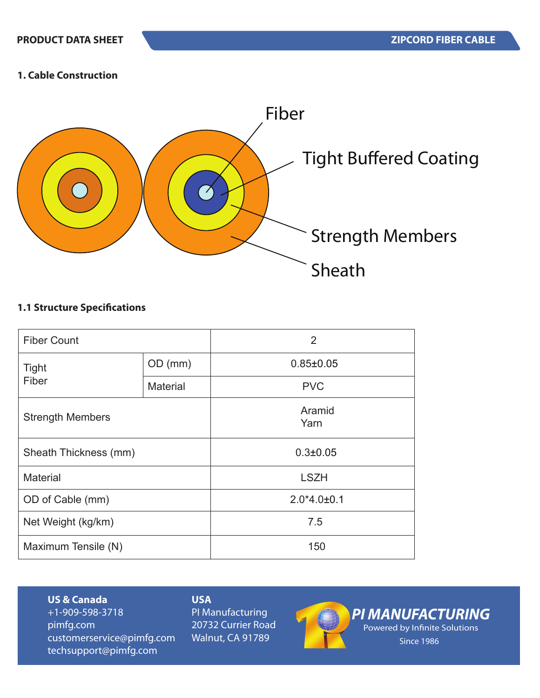### **1. Cable Construction**



# **1.1 Structure Specifications**

| <b>Fiber Count</b>      |                 | 2               |  |
|-------------------------|-----------------|-----------------|--|
| Tight<br>Fiber          | OD (mm)         | $0.85 \pm 0.05$ |  |
|                         | <b>Material</b> | <b>PVC</b>      |  |
| <b>Strength Members</b> |                 | Aramid<br>Yarn  |  |
| Sheath Thickness (mm)   |                 | $0.3 \pm 0.05$  |  |
| <b>Material</b>         |                 | <b>LSZH</b>     |  |
| OD of Cable (mm)        |                 | $2.0*4.0±0.1$   |  |
| Net Weight (kg/km)      |                 | 7.5             |  |
| Maximum Tensile (N)     |                 | 150             |  |

### **US & Canada**

+1-909-598-3718 pimfg.com customerservice@pimfg.com techsupport@pimfg.com

## **USA**

PI Manufacturing 20732 Currier Road Walnut, CA 91789



*PI MANUFACTURING* Powered by Infinite Solutions **Since 1986**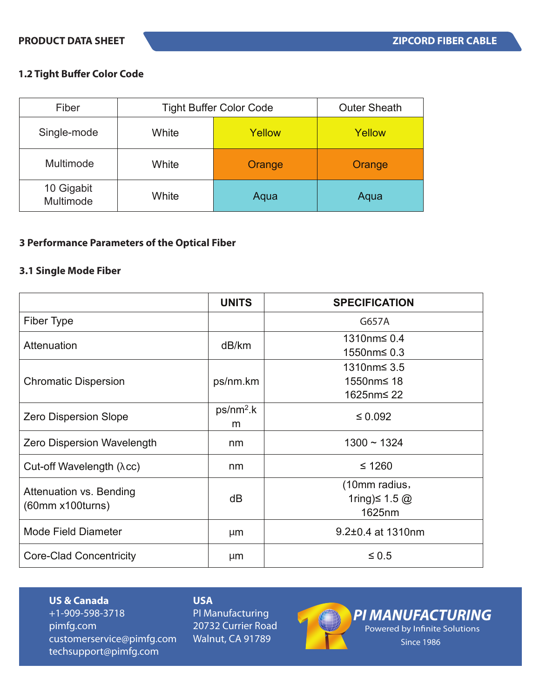## **1.2 Tight Buffer Color Code**

| Fiber                   | <b>Tight Buffer Color Code</b> |        | <b>Outer Sheath</b> |
|-------------------------|--------------------------------|--------|---------------------|
| Single-mode             | White                          | Yellow | Yellow              |
| Multimode               | White                          | Orange | Orange              |
| 10 Gigabit<br>Multimode | White                          | Aqua   | Aqua                |

#### **3 Performance Parameters of the Optical Fiber**

### **3.1 Single Mode Fiber**

|                                   | <b>UNITS</b> | <b>SPECIFICATION</b>    |
|-----------------------------------|--------------|-------------------------|
| <b>Fiber Type</b>                 |              | G657A                   |
| Attenuation                       | dB/km        | 1310nm≤ 0.4             |
|                                   |              | 1550nm≤ 0.3             |
|                                   |              | 1310nm≤ 3.5             |
| <b>Chromatic Dispersion</b>       | ps/nm.km     | 1550nm≤ 18              |
|                                   |              | 1625nm≤ 22              |
|                                   | $ps/nm2$ .k  | $\leq 0.092$            |
| <b>Zero Dispersion Slope</b>      | m            |                         |
| <b>Zero Dispersion Wavelength</b> | nm           | $1300 \sim 1324$        |
| Cut-off Wavelength $(\lambda$ cc) | nm           | $≤ 1260$                |
|                                   |              | (10mm radius,           |
| Attenuation vs. Bending           | dB           | 1ring)≤ 1.5 $@$         |
| (60mm x100turns)                  |              | 1625nm                  |
| <b>Mode Field Diameter</b>        | μm           | $9.2 \pm 0.4$ at 1310nm |
| <b>Core-Clad Concentricity</b>    | μm           | $\leq 0.5$              |

#### **US & Canada**

+1-909-598-3718 pimfg.com customerservice@pimfg.com techsupport@pimfg.com

### **USA**

PI Manufacturing 20732 Currier Road Walnut, CA 91789



*PI MANUFACTURING* Powered by Infinite Solutions Since 1986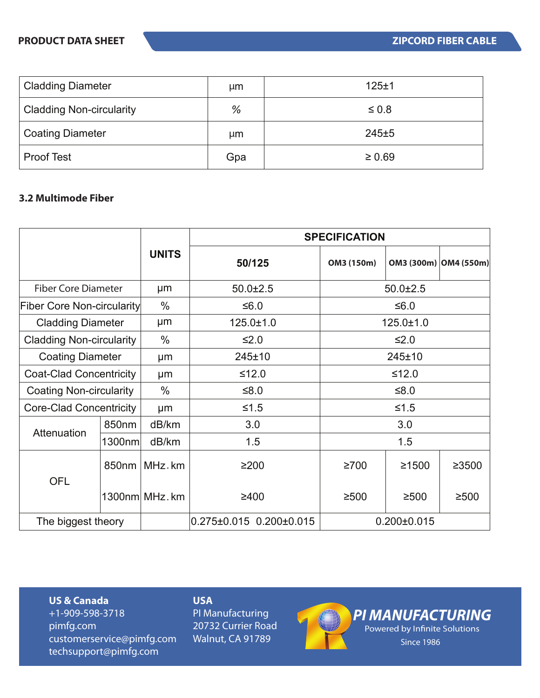| <b>Cladding Diameter</b>        | µm      | $125 + 1$   |
|---------------------------------|---------|-------------|
| <b>Cladding Non-circularity</b> | %       | $\leq 0.8$  |
| <b>Coating Diameter</b>         | $\mu$ m | 245±5       |
| <b>Proof Test</b>               | Gpa     | $\geq 0.69$ |

### **3.2 Multimode Fiber**

|                                   |       |               | <b>SPECIFICATION</b>                |                   |       |                       |
|-----------------------------------|-------|---------------|-------------------------------------|-------------------|-------|-----------------------|
|                                   |       | <b>UNITS</b>  | 50/125                              | OM3 (150m)        |       | OM3 (300m) OM4 (550m) |
| <b>Fiber Core Diameter</b>        |       | µm            | $50.0 \pm 2.5$                      | $50.0 \pm 2.5$    |       |                       |
| <b>Fiber Core Non-circularity</b> |       | $\%$          | ≤6.0                                | ≤6.0              |       |                       |
| <b>Cladding Diameter</b>          |       | μm            | $125.0 \pm 1.0$                     | 125.0±1.0         |       |                       |
| <b>Cladding Non-circularity</b>   |       | $\%$          | ≤2.0                                | ≤2.0              |       |                       |
| <b>Coating Diameter</b>           |       | μm            | 245±10                              | 245±10            |       |                       |
| <b>Coat-Clad Concentricity</b>    |       | μm            | $≤12.0$                             | $≤12.0$           |       |                       |
| <b>Coating Non-circularity</b>    |       | $\%$          | $≤8.0$                              | $≤8.0$            |       |                       |
| <b>Core-Clad Concentricity</b>    |       | μm            | $≤1.5$                              | $≤1.5$            |       |                       |
|                                   | 850nm | dB/km         | 3.0                                 | 3.0               |       |                       |
| Attenuation<br>1300nm             |       | dB/km         | 1.5                                 | 1.5               |       |                       |
| <b>OFL</b>                        | 850nm | MHz.km        | ≥200                                | $\geq 700$        | ≥1500 | ≥3500                 |
|                                   |       | 1300nm MHz.km | ≥400                                | $\geq$ 500        | ≥500  | ≥500                  |
| The biggest theory                |       |               | $0.275 \pm 0.015$ 0.200 $\pm 0.015$ | $0.200 \pm 0.015$ |       |                       |

## **US & Canada**

+1-909-598-3718 pimfg.com customerservice@pimfg.com techsupport@pimfg.com

## **USA**

PI Manufacturing 20732 Currier Road Walnut, CA 91789



*PI MANUFACTURING* Powered by Infinite Solutions Since 1986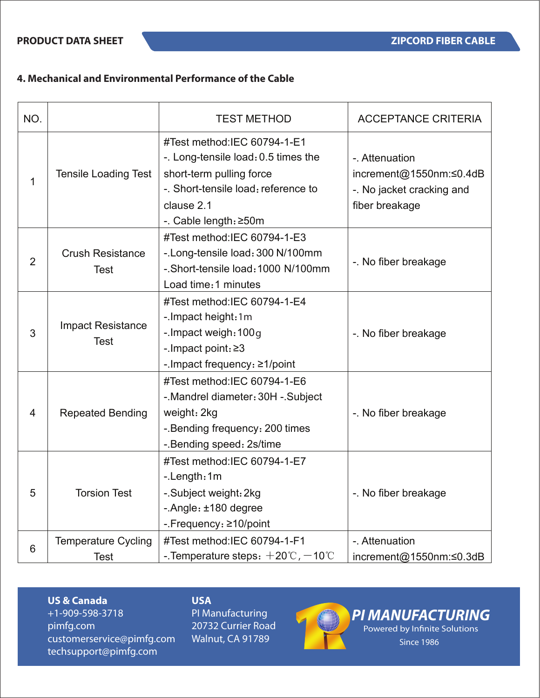### **4. Mechanical and Environmental Performance of the Cable**

| NO.            |                                           | <b>TEST METHOD</b>                                                                                                                                                           | <b>ACCEPTANCE CRITERIA</b>                                                               |
|----------------|-------------------------------------------|------------------------------------------------------------------------------------------------------------------------------------------------------------------------------|------------------------------------------------------------------------------------------|
| 1              | <b>Tensile Loading Test</b>               | #Test method:IEC 60794-1-E1<br>-. Long-tensile load: 0.5 times the<br>short-term pulling force<br>-. Short-tensile load: reference to<br>clause 2.1<br>-. Cable length: ≥50m | -. Attenuation<br>increment@1550nm:≤0.4dB<br>-. No jacket cracking and<br>fiber breakage |
| $\overline{2}$ | <b>Crush Resistance</b><br><b>Test</b>    | #Test method:IEC 60794-1-E3<br>-. Long-tensile load: 300 N/100mm<br>-.Short-tensile load: 1000 N/100mm<br>Load time: 1 minutes                                               | -. No fiber breakage                                                                     |
| 3              | <b>Impact Resistance</b><br><b>Test</b>   | #Test method:IEC 60794-1-E4<br>-. Impact height: 1m<br>-. Impact weigh: 100 g<br>-. Impact point: $\geq$ 3<br>-. Impact frequency: $\geq$ 1/point                            | -. No fiber breakage                                                                     |
| 4              | <b>Repeated Bending</b>                   | #Test method:IEC 60794-1-E6<br>-. Mandrel diameter: 30H -. Subject<br>weight: 2kg<br>-. Bending frequency: 200 times<br>-. Bending speed: 2s/time                            | -. No fiber breakage                                                                     |
| 5              | <b>Torsion Test</b>                       | #Test method:IEC 60794-1-E7<br>-.Length:1m<br>-.Subject weight: 2kg<br>-. Angle: ±180 degree<br>-.Frequency: ≥10/point                                                       | -. No fiber breakage                                                                     |
| 6              | <b>Temperature Cycling</b><br><b>Test</b> | #Test method:IEC 60794-1-F1<br>-. Temperature steps: $+20^{\circ}$ C, $-10^{\circ}$ C                                                                                        | - Attenuation<br>increment@1550nm:≤0.3dB                                                 |

#### **US & Canada**

+1-909-598-3718 pimfg.com customerservice@pimfg.com techsupport@pimfg.com

**USA** PI Manufacturing 20732 Currier Road Walnut, CA 91789



*PI MANUFACTURING*

Powered by Infinite Solutions Since 1986